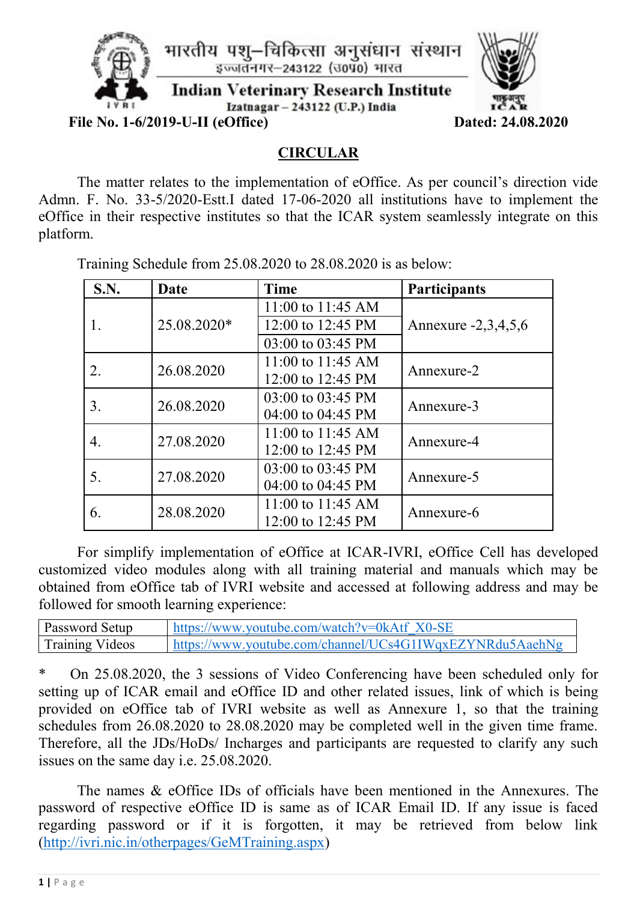

## **CIRCULAR**

The matter relates to the implementation of eOffice. As per council's direction vide Admn. F. No. 33-5/2020-Estt.I dated 17-06-2020 all institutions have to implement the eOffice in their respective institutes so that the ICAR system seamlessly integrate on this platform.

Training Schedule from 25.08.2020 to 28.08.2020 is as below:

| S.N. | Date        | <b>Time</b>       | <b>Participants</b> |  |
|------|-------------|-------------------|---------------------|--|
|      |             | 11:00 to 11:45 AM |                     |  |
|      | 25.08.2020* | 12:00 to 12:45 PM | Annexure -2,3,4,5,6 |  |
|      |             | 03:00 to 03:45 PM |                     |  |
|      | 26.08.2020  | 11:00 to 11:45 AM | Annexure-2          |  |
|      |             | 12:00 to 12:45 PM |                     |  |
| 3.   | 26.08.2020  | 03:00 to 03:45 PM | Annexure-3          |  |
|      |             | 04:00 to 04:45 PM |                     |  |
| 4.   | 27.08.2020  | 11:00 to 11:45 AM | Annexure-4          |  |
|      |             | 12:00 to 12:45 PM |                     |  |
| 5.   | 27.08.2020  | 03:00 to 03:45 PM | Annexure-5          |  |
|      |             | 04:00 to 04:45 PM |                     |  |
| 6.   | 28.08.2020  | 11:00 to 11:45 AM | Annexure-6          |  |
|      |             | 12:00 to 12:45 PM |                     |  |

For simplify implementation of eOffice at ICAR-IVRI, eOffice Cell has developed customized video modules along with all training material and manuals which may be obtained from eOffice tab of IVRI website and accessed at following address and may be followed for smooth learning experience:

| <b>Password Setup</b>  | https://www.youtube.com/watch?v=0kAtf X0-SE              |
|------------------------|----------------------------------------------------------|
| <b>Training Videos</b> | https://www.youtube.com/channel/UCs4G1IWqxEZYNRdu5AaehNg |

\* On 25.08.2020, the 3 sessions of Video Conferencing have been scheduled only for setting up of ICAR email and eOffice ID and other related issues, link of which is being provided on eOffice tab of IVRI website as well as Annexure 1, so that the training schedules from 26.08.2020 to 28.08.2020 may be completed well in the given time frame. Therefore, all the JDs/HoDs/ Incharges and participants are requested to clarify any such issues on the same day i.e. 25.08.2020.

The names & eOffice IDs of officials have been mentioned in the Annexures. The password of respective eOffice ID is same as of ICAR Email ID. If any issue is faced regarding password or if it is forgotten, it may be retrieved from below link [\(http://ivri.nic.in/otherpages/GeMTraining.aspx\)](http://ivri.nic.in/otherpages/GeMTraining.aspx)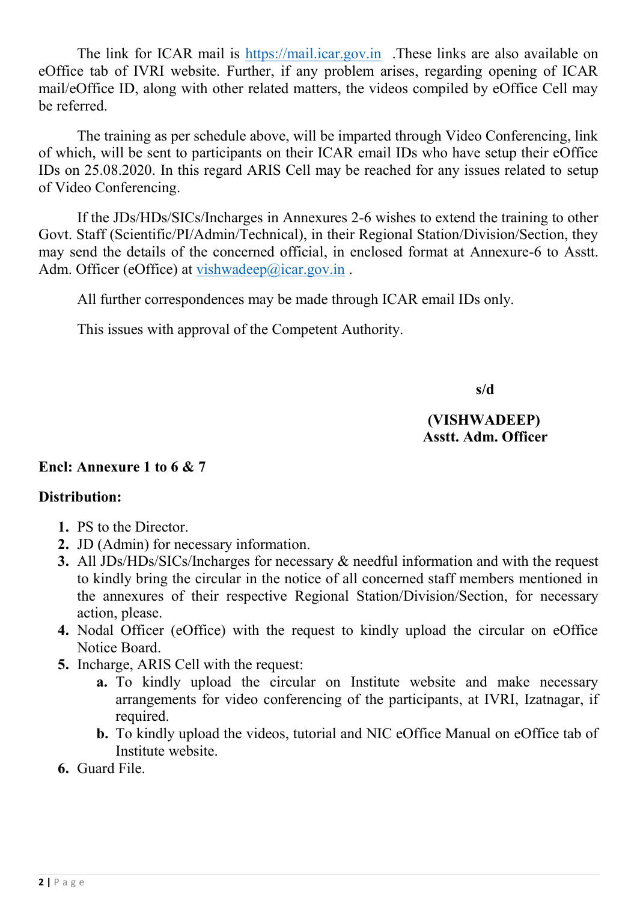The link for ICAR mail is [https://mail.icar.gov.in](https://mail.icar.gov.in/) .These links are also available on eOffice tab of IVRI website. Further, if any problem arises, regarding opening of ICAR mail/eOffice ID, along with other related matters, the videos compiled by eOffice Cell may be referred.

The training as per schedule above, will be imparted through Video Conferencing, link of which, will be sent to participants on their ICAR email IDs who have setup their eOffice IDs on 25.08.2020. In this regard ARIS Cell may be reached for any issues related to setup of Video Conferencing.

If the JDs/HDs/SICs/Incharges in Annexures 2-6 wishes to extend the training to other Govt. Staff (Scientific/PI/Admin/Technical), in their Regional Station/Division/Section, they may send the details of the concerned official, in enclosed format at Annexure-6 to Asstt. Adm. Officer (eOffice) at [vishwadeep@icar.gov.in](mailto:vishwadeep@icar.gov.in).

All further correspondences may be made through ICAR email IDs only.

This issues with approval of the Competent Authority.

 **s/d**

## **(VISHWADEEP) Asstt. Adm. Officer**

### **Encl: Annexure 1 to 6 & 7**

## **Distribution:**

- **1.** PS to the Director.
- **2.** JD (Admin) for necessary information.
- **3.** All JDs/HDs/SICs/Incharges for necessary & needful information and with the request to kindly bring the circular in the notice of all concerned staff members mentioned in the annexures of their respective Regional Station/Division/Section, for necessary action, please.
- **4.** Nodal Officer (eOffice) with the request to kindly upload the circular on eOffice Notice Board.
- **5.** Incharge, ARIS Cell with the request:
	- **a.** To kindly upload the circular on Institute website and make necessary arrangements for video conferencing of the participants, at IVRI, Izatnagar, if required.
	- **b.** To kindly upload the videos, tutorial and NIC eOffice Manual on eOffice tab of Institute website.
- **6.** Guard File.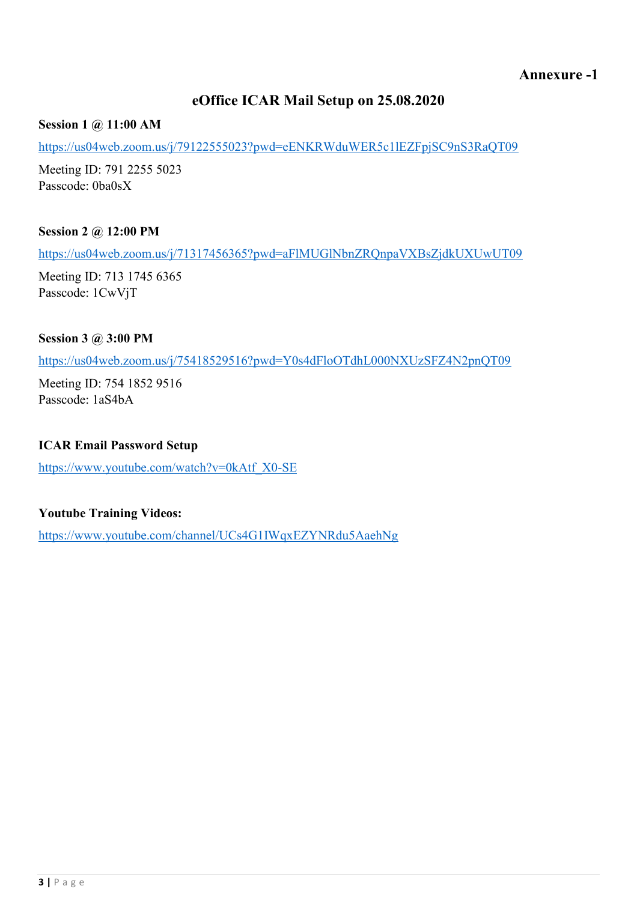## **eOffice ICAR Mail Setup on 25.08.2020**

**Session 1 @ 11:00 AM**

<https://us04web.zoom.us/j/79122555023?pwd=eENKRWduWER5c1lEZFpjSC9nS3RaQT09>

Meeting ID: 791 2255 5023 Passcode: 0ba0sX

**Session 2 @ 12:00 PM**

<https://us04web.zoom.us/j/71317456365?pwd=aFlMUGlNbnZRQnpaVXBsZjdkUXUwUT09>

Meeting ID: 713 1745 6365 Passcode: 1CwVjT

#### **Session 3 @ 3:00 PM**

<https://us04web.zoom.us/j/75418529516?pwd=Y0s4dFloOTdhL000NXUzSFZ4N2pnQT09>

Meeting ID: 754 1852 9516 Passcode: 1aS4bA

#### **ICAR Email Password Setup**

[https://www.youtube.com/watch?v=0kAtf\\_X0-SE](https://www.youtube.com/watch?v=0kAtf_X0-SE)

#### **Youtube Training Videos:**

<https://www.youtube.com/channel/UCs4G1IWqxEZYNRdu5AaehNg>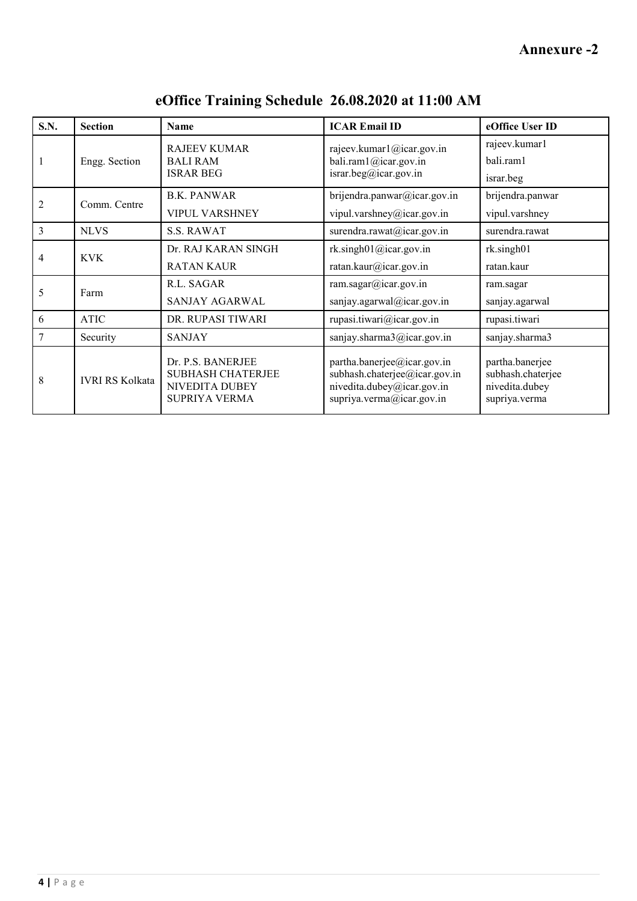**Annexure -2**

| <b>S.N.</b>    | <b>Section</b>         | <b>Name</b>                                                                             | <b>ICAR Email ID</b>                                                                                                    | eOffice User ID                                                         |
|----------------|------------------------|-----------------------------------------------------------------------------------------|-------------------------------------------------------------------------------------------------------------------------|-------------------------------------------------------------------------|
| 1              | Engg. Section          | <b>RAJEEV KUMAR</b><br><b>BALI RAM</b><br><b>ISRAR BEG</b>                              | rajeev.kumarl@icar.gov.in<br>bali.ram1@icar.gov.in<br>israr.beg@icar.gov.in                                             | rajeev.kumar1<br>bali.ram1<br>israr.beg                                 |
| $\overline{2}$ | Comm. Centre           | <b>B.K. PANWAR</b><br><b>VIPUL VARSHNEY</b>                                             | brijendra.panwar@icar.gov.in<br>vipul.varshney@icar.gov.in                                                              | brijendra.panwar<br>vipul.varshney                                      |
| 3              | <b>NLVS</b>            | <b>S.S. RAWAT</b>                                                                       | surendra.rawat@icar.gov.in                                                                                              | surendra.rawat                                                          |
| 4              | <b>KVK</b>             | Dr. RAJ KARAN SINGH<br><b>RATAN KAUR</b>                                                | rk.singh01@icar.gov.in<br>ratan.kaur@icar.gov.in                                                                        | rk.singh01<br>ratan.kaur                                                |
| 5              | Farm                   | R.L. SAGAR<br>SANJAY AGARWAL                                                            | ram.sagar@icar.gov.in<br>sanjay.agarwal@icar.gov.in                                                                     | ram.sagar<br>sanjay.agarwal                                             |
| 6              | <b>ATIC</b>            | DR. RUPASI TIWARI                                                                       | rupasi.tiwari@icar.gov.in                                                                                               | rupasi.tiwari                                                           |
| 7              | Security               | <b>SANJAY</b>                                                                           | sanjay.sharma3@icar.gov.in                                                                                              | sanjay.sharma3                                                          |
| 8              | <b>IVRI RS Kolkata</b> | Dr. P.S. BANERJEE<br><b>SUBHASH CHATERJEE</b><br>NIVEDITA DUBEY<br><b>SUPRIYA VERMA</b> | partha.banerjee@icar.gov.in<br>subhash.chaterjee@icar.gov.in<br>nivedita.dubey@icar.gov.in<br>supriya.verma@icar.gov.in | partha.banerjee<br>subhash.chaterjee<br>nivedita.dubey<br>supriya.verma |

**eOffice Training Schedule 26.08.2020 at 11:00 AM**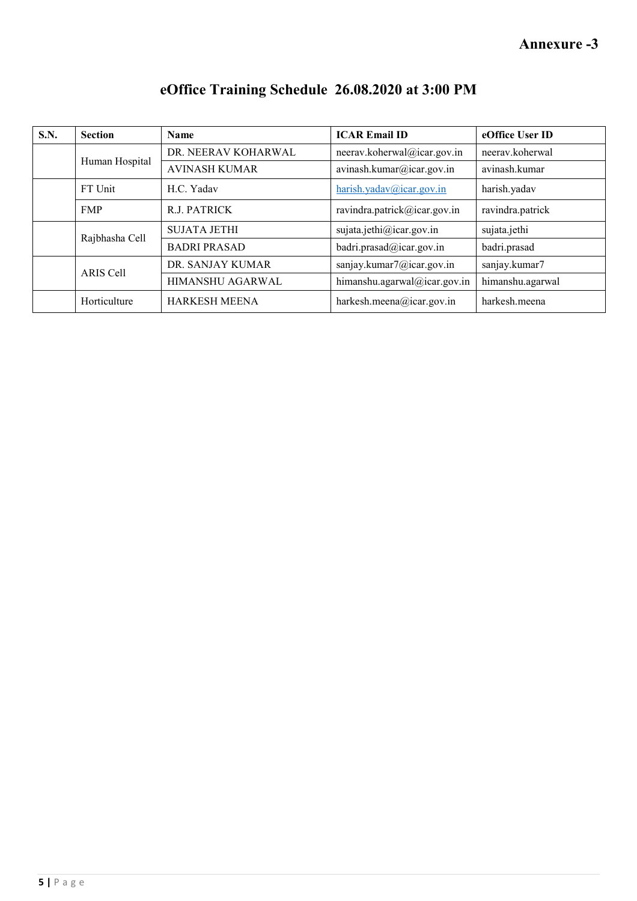| <b>S.N.</b> | <b>Section</b> | <b>Name</b>          | <b>ICAR Email ID</b>         | eOffice User ID  |
|-------------|----------------|----------------------|------------------------------|------------------|
|             | Human Hospital | DR. NEERAV KOHARWAL  | neerav.koherwal@icar.gov.in  | neeray.koherwal  |
|             |                | <b>AVINASH KUMAR</b> | avinash.kumar@icar.gov.in    | avinash.kumar    |
|             | FT Unit        | H.C. Yadav           | harish.yadav@icar.gov.in     | harish.yadav     |
|             | <b>FMP</b>     | R.J. PATRICK         | ravindra.patrick@icar.gov.in | ravindra.patrick |
|             | Rajbhasha Cell | <b>SUJATA JETHI</b>  | sujata.jethi@icar.gov.in     | sujata.jethi     |
|             |                | <b>BADRI PRASAD</b>  | badri.prasad@icar.gov.in     | badri.prasad     |
|             | ARIS Cell      | DR. SANJAY KUMAR     | sanjay.kumar7@icar.gov.in    | sanjay.kumar7    |
|             |                | HIMANSHU AGARWAL     | himanshu.agarwal@icar.gov.in | himanshu.agarwal |
|             | Horticulture   | <b>HARKESH MEENA</b> | harkesh.meena@icar.gov.in    | harkesh.meena    |

# **eOffice Training Schedule 26.08.2020 at 3:00 PM**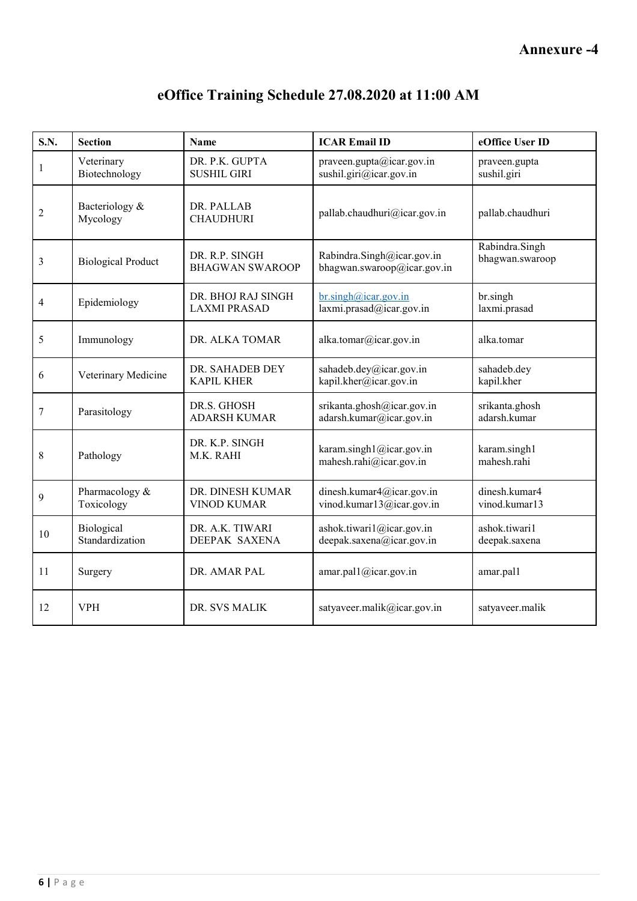| S.N.           | <b>Section</b>                | <b>Name</b>                               | <b>ICAR Email ID</b>                                      | eOffice User ID                   |
|----------------|-------------------------------|-------------------------------------------|-----------------------------------------------------------|-----------------------------------|
| $\mathbf{1}$   | Veterinary<br>Biotechnology   | DR. P.K. GUPTA<br><b>SUSHIL GIRI</b>      | praveen.gupta@icar.gov.in<br>sushil.giri@icar.gov.in      | praveen.gupta<br>sushil.giri      |
| $\overline{c}$ | Bacteriology &<br>Mycology    | DR. PALLAB<br><b>CHAUDHURI</b>            | pallab.chaudhuri@icar.gov.in                              | pallab.chaudhuri                  |
| 3              | <b>Biological Product</b>     | DR. R.P. SINGH<br><b>BHAGWAN SWAROOP</b>  | Rabindra.Singh@icar.gov.in<br>bhagwan.swaroop@icar.gov.in | Rabindra.Singh<br>bhagwan.swaroop |
| $\overline{4}$ | Epidemiology                  | DR. BHOJ RAJ SINGH<br><b>LAXMI PRASAD</b> | $br.$ singh@icar.gov.in<br>laxmi.prasad@icar.gov.in       | br.singh<br>laxmi.prasad          |
| 5              | Immunology                    | DR. ALKA TOMAR                            | alka.tomar@icar.gov.in                                    | alka.tomar                        |
| 6              | Veterinary Medicine           | DR. SAHADEB DEY<br><b>KAPIL KHER</b>      | sahadeb.dey@icar.gov.in<br>kapil.kher@icar.gov.in         | sahadeb.dey<br>kapil.kher         |
| $\tau$         | Parasitology                  | DR.S. GHOSH<br><b>ADARSH KUMAR</b>        | srikanta.ghosh@icar.gov.in<br>adarsh.kumar@icar.gov.in    | srikanta.ghosh<br>adarsh.kumar    |
| 8              | Pathology                     | DR. K.P. SINGH<br>M.K. RAHI               | karam.singh1@icar.gov.in<br>mahesh.rahi@icar.gov.in       | karam.singh1<br>mahesh.rahi       |
| 9              | Pharmacology &<br>Toxicology  | DR. DINESH KUMAR<br><b>VINOD KUMAR</b>    | dinesh.kumar4@icar.gov.in<br>vinod.kumar13@icar.gov.in    | dinesh.kumar4<br>vinod.kumar13    |
| 10             | Biological<br>Standardization | DR. A.K. TIWARI<br><b>DEEPAK SAXENA</b>   | ashok.tiwari1@icar.gov.in<br>deepak.saxena@icar.gov.in    | ashok.tiwari1<br>deepak.saxena    |
| 11             | Surgery                       | DR. AMAR PAL                              | amar.pal1@icar.gov.in                                     | amar.pal1                         |
| 12             | <b>VPH</b>                    | DR. SVS MALIK                             | satyaveer.malik@icar.gov.in                               | satyaveer.malik                   |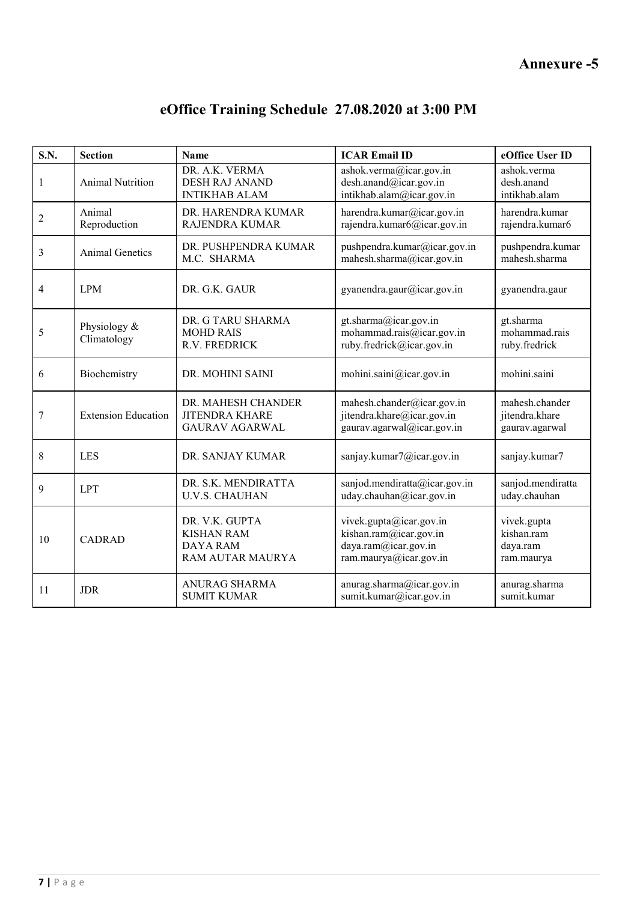**Annexure -5**

| S.N.           | <b>Section</b>                                                                                                 | <b>Name</b>                                                                                                                                       | <b>ICAR Email ID</b>                                                                                | eOffice User ID                                     |
|----------------|----------------------------------------------------------------------------------------------------------------|---------------------------------------------------------------------------------------------------------------------------------------------------|-----------------------------------------------------------------------------------------------------|-----------------------------------------------------|
| $\mathbf{1}$   | <b>Animal Nutrition</b>                                                                                        | DR. A.K. VERMA<br>ashok.verma@icar.gov.in<br>desh.anand@icar.gov.in<br><b>DESH RAJ ANAND</b><br>intikhab.alam@icar.gov.in<br><b>INTIKHAB ALAM</b> |                                                                                                     | ashok.verma<br>desh.anand<br>intikhab.alam          |
| $\overline{2}$ | Animal<br>Reproduction                                                                                         | DR. HARENDRA KUMAR<br>RAJENDRA KUMAR                                                                                                              | harendra.kumar@icar.gov.in<br>rajendra.kumar6@icar.gov.in                                           | harendra.kumar<br>rajendra.kumar6                   |
| $\overline{3}$ | <b>Animal Genetics</b>                                                                                         | DR. PUSHPENDRA KUMAR<br>M.C. SHARMA                                                                                                               | pushpendra.kumar@icar.gov.in<br>mahesh.sharma@icar.gov.in                                           | pushpendra.kumar<br>mahesh.sharma                   |
| $\overline{4}$ | <b>LPM</b>                                                                                                     | DR. G.K. GAUR<br>gyanendra.gaur@icar.gov.in                                                                                                       |                                                                                                     | gyanendra.gaur                                      |
| 5              | DR. G TARU SHARMA<br>gt.sharma@icar.gov.in<br>Physiology &<br><b>MOHD RAIS</b><br>Climatology<br>R.V. FREDRICK |                                                                                                                                                   | mohammad.rais@icar.gov.in<br>ruby.fredrick@icar.gov.in                                              | gt.sharma<br>mohammad.rais<br>ruby.fredrick         |
| 6              | Biochemistry                                                                                                   | DR. MOHINI SAINI                                                                                                                                  | mohini.saini@icar.gov.in                                                                            | mohini.saini                                        |
| 7              | <b>Extension Education</b>                                                                                     | DR. MAHESH CHANDER<br><b>JITENDRA KHARE</b><br><b>GAURAV AGARWAL</b>                                                                              | mahesh.chander@icar.gov.in<br>jitendra.khare@icar.gov.in<br>gaurav.agarwal@icar.gov.in              | mahesh.chander<br>jitendra.khare<br>gaurav.agarwal  |
| 8              | LES<br>DR. SANJAY KUMAR                                                                                        |                                                                                                                                                   | sanjay.kumar7@icar.gov.in                                                                           | sanjay.kumar7                                       |
| 9              | DR. S.K. MENDIRATTA<br><b>LPT</b><br><b>U.V.S. CHAUHAN</b>                                                     |                                                                                                                                                   | sanjod.mendiratta@icar.gov.in<br>uday.chauhan@icar.gov.in                                           | sanjod.mendiratta<br>uday.chauhan                   |
| 10             | DR. V.K. GUPTA<br><b>KISHAN RAM</b><br>CADRAD<br><b>DAYA RAM</b><br><b>RAM AUTAR MAURYA</b>                    |                                                                                                                                                   | vivek.gupta@icar.gov.in<br>kishan.ram@icar.gov.in<br>daya.ram@icar.gov.in<br>ram.maurya@icar.gov.in | vivek.gupta<br>kishan.ram<br>daya.ram<br>ram.maurya |
| 11             | <b>JDR</b>                                                                                                     | <b>ANURAG SHARMA</b><br><b>SUMIT KUMAR</b>                                                                                                        | anurag.sharma@icar.gov.in<br>sumit.kumar@icar.gov.in                                                | anurag.sharma<br>sumit.kumar                        |

# **eOffice Training Schedule 27.08.2020 at 3:00 PM**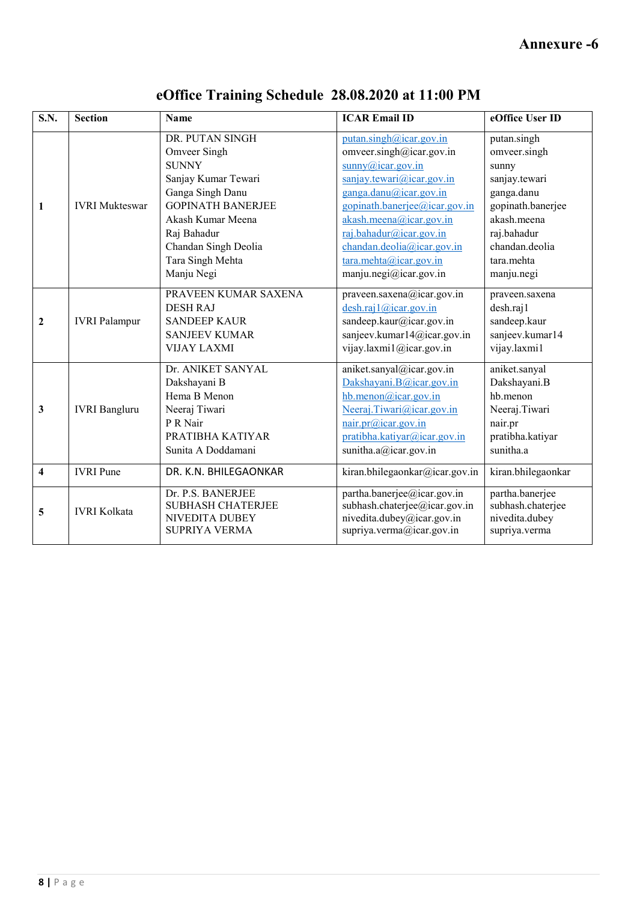| <b>S.N.</b>             | <b>Section</b>                                                                                                                                                                                                                  | <b>Name</b>                                                                                                  | <b>ICAR Email ID</b>                                                                                                                                                                                                                                                                                                                                                              | eOffice User ID                                                                                                                                        |
|-------------------------|---------------------------------------------------------------------------------------------------------------------------------------------------------------------------------------------------------------------------------|--------------------------------------------------------------------------------------------------------------|-----------------------------------------------------------------------------------------------------------------------------------------------------------------------------------------------------------------------------------------------------------------------------------------------------------------------------------------------------------------------------------|--------------------------------------------------------------------------------------------------------------------------------------------------------|
| $\mathbf{1}$            | DR. PUTAN SINGH<br>Omveer Singh<br><b>SUNNY</b><br>Sanjay Kumar Tewari<br>Ganga Singh Danu<br><b>GOPINATH BANERJEE</b><br><b>IVRI</b> Mukteswar<br>Akash Kumar Meena<br>Raj Bahadur<br>Chandan Singh Deolia<br>Tara Singh Mehta |                                                                                                              | putan.singh@icar.gov.in<br>omveer.singh@icar.gov.in<br>$sumxy@$ icar.gov.in<br>saniay. tewari@icar.gov.in<br>ganga.danu@icar.gov.in<br>gopinath.banerjee@icar.gov.in<br>$akash.$ meena@icar.gov.in<br>raj.bahadur@icar.gov.in<br>chandan.deolia@icar.gov.in<br>$\frac{\tan x \cdot \text{mehta}(\hat{a}) i \text{car.gov.in}}{i \cdot \text{mehta}(\hat{a}) i \text{car.gov.in}}$ | putan.singh<br>omveer.singh<br>sunny<br>sanjay.tewari<br>ganga.danu<br>gopinath.banerjee<br>akash.meena<br>raj.bahadur<br>chandan.deolia<br>tara.mehta |
|                         |                                                                                                                                                                                                                                 | Manju Negi                                                                                                   | manju.negi@icar.gov.in                                                                                                                                                                                                                                                                                                                                                            | manju.negi                                                                                                                                             |
| $\mathbf{2}$            | <b>IVRI</b> Palampur                                                                                                                                                                                                            | PRAVEEN KUMAR SAXENA<br><b>DESH RAJ</b><br><b>SANDEEP KAUR</b><br><b>SANJEEV KUMAR</b><br><b>VIJAY LAXMI</b> | praveen.saxena@icar.gov.in<br>$\text{desh.} \text{raj1}(\hat{\omega}) \text{icar.gov.in}$<br>sandeep.kaur@icar.gov.in<br>sanjeev.kumar14@icar.gov.in<br>vijay.laxmi1@icar.gov.in                                                                                                                                                                                                  | praveen.saxena<br>desh.raj1<br>sandeep.kaur<br>sanjeev.kumar14<br>vijay.laxmi1                                                                         |
| 3                       | Dr. ANIKET SANYAL<br>Dakshayani B<br>Hema B Menon<br>Neeraj Tiwari<br><b>IVRI</b> Bangluru<br>P R Nair<br>PRATIBHA KATIYAR<br>Sunita A Doddamani                                                                                |                                                                                                              | aniket.sanyal@icar.gov.in<br>Dakshayani.B@icar.gov.in<br>$hb$ .menon@icar.gov.in<br>Neeraj.Tiwari@icar.gov.in<br>nair.pr@icar.gov.in<br>pratibha.katiyar@icar.gov.in<br>sunitha.a@icar.gov.in                                                                                                                                                                                     | aniket.sanyal<br>Dakshayani.B<br>hb.menon<br>Neeraj.Tiwari<br>nair.pr<br>pratibha.katiyar<br>sunitha.a                                                 |
| $\overline{\mathbf{4}}$ | <b>IVRI</b> Pune                                                                                                                                                                                                                | DR. K.N. BHILEGAONKAR                                                                                        | kiran.bhilegaonkar@icar.gov.in                                                                                                                                                                                                                                                                                                                                                    | kiran.bhilegaonkar                                                                                                                                     |
| 5                       | <b>IVRI Kolkata</b>                                                                                                                                                                                                             | Dr. P.S. BANERJEE<br><b>SUBHASH CHATERJEE</b><br>NIVEDITA DUBEY<br>SUPRIYA VERMA                             | partha.banerjee@icar.gov.in<br>subhash.chaterjee@icar.gov.in<br>nivedita.dubey@icar.gov.in<br>supriya.verma@icar.gov.in                                                                                                                                                                                                                                                           | partha.banerjee<br>subhash.chaterjee<br>nivedita.dubey<br>supriya.verma                                                                                |

# **eOffice Training Schedule 28.08.2020 at 11:00 PM**